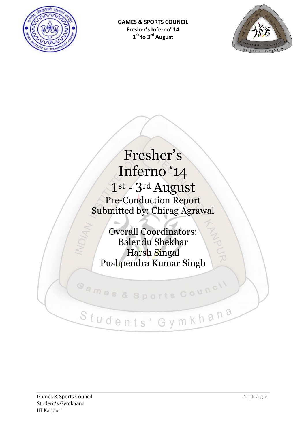

**GAMES & SPORTS COUNCIL Fresher's Inferno' 14 1 st to 3rd August** 



# Fresher's Inferno '14 1st - 3rd August Pre-Conduction Report Submitted by: Chirag Agrawal

Overall Coordinators: Balendu Shekhar Harsh Singal Pushpendra Kumar Singh **ANDLIN** 

# Students' Gymkhana

Games & Sports Council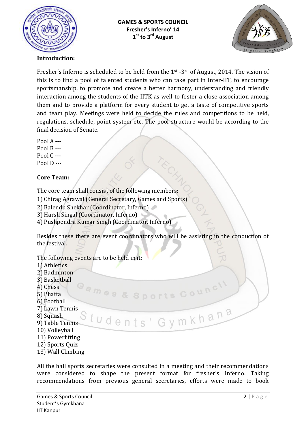



#### **Introduction:**

Fresher's Inferno is scheduled to be held from the 1st -3rd of August, 2014. The vision of this is to find a pool of talented students who can take part in Inter-IIT, to encourage sportsmanship, to promote and create a better harmony, understanding and friendly interaction among the students of the IITK as well to foster a close association among them and to provide a platform for every student to get a taste of competitive sports and team play. Meetings were held to decide the rules and competitions to be held, regulations, schedule, point system etc. The pool structure would be according to the final decision of Senate.

Pool A --‐ Pool B --‐ Pool  $C$  ---Pool  $D$  ---

#### **Core Team:**

The core team shall consist of the following members:

- 1) Chirag Agrawal (General Secretary, Games and Sports)
- 2) Balendu Shekhar (Coordinator, Inferno)
- 3) Harsh Singal (Coordinator, Inferno)
- 4) Pushpendra Kumar Singh (Coordinator, Inferno)

Besides these there are event coordinators who will be assisting in the conduction of the festival.

Games & Sports Counci

Students' Gymkhana

The following events are to be held in it:

- 1) Athletics
- 2) Badminton
- 3) Basketball
- 4) Chess
- 5) Phatta
- 6) Football
- 7) Lawn Tennis
- 8) Squash
- 9) Table Tennis
- 10) Volleyball
- 11) Powerlifting
- 12) Sports Quiz
- 13) Wall Climbing

All the hall sports secretaries were consulted in a meeting and their recommendations were considered to shape the present format for fresher's Inferno. Taking recommendations from previous general secretaries, efforts were made to book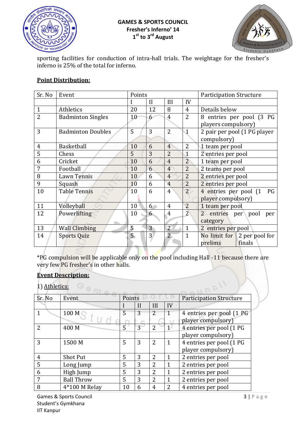

#### **GAMES & SPORTS COUNCIL Fresher's Inferno' 14 1 st to 3rd August**



sporting facilities for conduction of intra-hall trials. The weightage for the fresher's inferno is 25% of the total for inferno.

# **Point Distribution:**

| Sr. No         | Event                    | Points          |                |                |                         | <b>Participation Structure</b>      |
|----------------|--------------------------|-----------------|----------------|----------------|-------------------------|-------------------------------------|
|                |                          |                 | $\mathbf{I}$   | III            | IV                      |                                     |
| $\overline{1}$ | Athletics                | 20              | 12             | 8              | $\overline{4}$          | Details below                       |
| $\overline{2}$ | <b>Badminton Singles</b> | 10              | 6              | $\overline{4}$ | $\overline{2}$          | 8 entries per pool (3 PG            |
|                |                          |                 |                |                |                         | players compulsory)                 |
| 3              | <b>Badminton Doubles</b> | 5               | 3              | $\overline{2}$ | $\overline{\mathbb{1}}$ | 2 pair per pool (1 PG player        |
|                |                          |                 |                |                |                         | compulsory)                         |
| $\overline{4}$ | Basketball               | 10              | 6              | $\overline{4}$ | $\overline{2}$          | 1 team per pool                     |
| 5              | Chess                    | 5               | 3              | $\overline{2}$ | $\mathbf{1}$            | 2 entries per pool                  |
| 6              | Cricket                  | 10              | 6              | $\overline{4}$ | $\overline{2}$          | 1 team per pool                     |
| 7              | Football                 | 10              | 6              | $\overline{4}$ | $\overline{2}$          | 2 teams per pool                    |
| 8              | Lawn Tennis              | 10              | 6              | $\overline{4}$ | $\overline{2}$          | 2 entries per pool                  |
| 9              | Squash                   | 10              | 6              | $\overline{4}$ | $\overline{2}$          | 2 entries per pool                  |
| 10             | <b>Table Tennis</b>      | 10              | 6              | $\overline{4}$ | $\overline{2}$          | 4 entries per pool (1<br>PG         |
|                |                          |                 |                |                |                         | player compulsory)                  |
| 11             | Volleyball               | 10              | 6              | $\overline{4}$ | $\overline{2}$          | 1 team per pool                     |
| 12             | Powerlifting             | 10              | 6              | $\overline{4}$ | $\overline{2}$          | 2 entries per<br>pool<br>per        |
|                |                          |                 |                |                |                         | category                            |
| 13             | <b>Wall Climbing</b>     | 5               | 3 <sup>2</sup> | $\overline{2}$ | $\mathbf{1}$            | 2 entries per pool                  |
| 14             | <b>Sports Quiz</b>       | $5\overline{)}$ | $\overline{3}$ | $\overline{2}$ | $\mathbf{1}$            | No limit for $\vert$ 2 per pool for |
|                |                          |                 |                |                |                         | prelims<br>finals                   |

DR \*PG compulsion will be applicable only on the pool including Hall -11 because there are very few PG fresher's in other halls.

#### **Event Description:**

1) Athletics:

| Sr. No | Event             | Points |             |                |      | <b>Participation Structure</b> |
|--------|-------------------|--------|-------------|----------------|------|--------------------------------|
|        |                   |        | H           | Ш              | IV   |                                |
|        | 100 M             | 5      | 3           | $\overline{2}$ | 1    | 4 entries per pool (1 PG       |
|        |                   |        |             |                |      | player compulsory)             |
| 2      | 400 M             | 5      | $3^{\circ}$ | 2              | $1-$ | 4 entries per pool (1 PG       |
|        |                   |        |             |                |      | player compulsory)             |
| 3      | 1500 M            | 5      | 3           | $\overline{2}$ | 1    | 4 entries per pool (1 PG       |
|        |                   |        |             |                |      | player compulsory)             |
| 4      | <b>Shot Put</b>   | 5      | 3           | 2              |      | 2 entries per pool             |
| 5      | Long Jump         | 5      | 3           | $\overline{2}$ |      | 2 entries per pool             |
| 6      | High Jump         | 5      | 3           | 2              |      | 2 entries per pool             |
| 7      | <b>Ball Throw</b> | 5      | 3           | $\overline{2}$ |      | 2 entries per pool             |
| 8      | 4*100 M Relay     | 10     | 6           | 4              | 2    | 4 entries per pool             |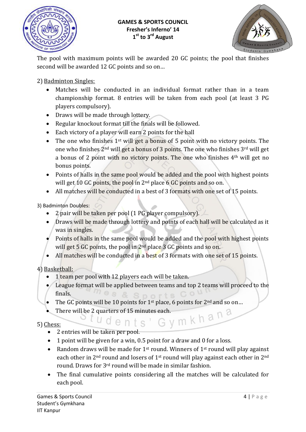

#### **GAMES & SPORTS COUNCIL Fresher's Inferno' 14 1 st to 3rd August**



The pool with maximum points will be awarded 20 GC points; the pool that finishes second will be awarded 12 GC points and so on…

2) Badminton Singles:

- Matches will be conducted in an individual format rather than in a team championship format. 8 entries will be taken from each pool (at least 3 PG players compulsory).
- Draws will be made through lottery.
- Regular knockout format till the finals will be followed.
- Each victory of a player will earn 2 points for the hall
- The one who finishes  $1^{st}$  will get a bonus of 5 point with no victory points. The one who finishes 2nd will get a bonus of 3 points. The one who finishes 3rd will get a bonus of 2 point with no victory points. The one who finishes 4th will get no bonus points.
- Points of halls in the same pool would be added and the pool with highest points will get 10 GC points, the pool in 2<sup>nd</sup> place 6 GC points and so on.
- All matches will be conducted in a best of 3 formats with one set of 15 points.

3) Badminton Doubles:

- 2 pair will be taken per pool (1 PG player compulsory).
- Draws will be made through lottery and points of each hall will be calculated as it was in singles.
- Points of halls in the same pool would be added and the pool with highest points will get 5 GC points, the pool in 2<sup>nd</sup> place 3 GC points and so on.
- All matches will be conducted in a best of 3 formats with one set of 15 points.

4) Basketball:

- 1 team per pool with 12 players each will be taken.
- League format will be applied between teams and top 2 teams will proceed to the  $mg$   $\approx$   $S$  norts COU finals.
- The GC points will be 10 points for  $1<sup>st</sup>$  place, 6 points for  $2<sup>nd</sup>$  and so on...
- There will be 2 quarters of 15 minutes each.<br>Social dept is depth on the  $\mathbb{R}$  m  $\mathbb{R}$  h and  $\mathbb{R}$

# 5) Chess:

- 2 entries will be taken per pool.
- 1 point will be given for a win, 0.5 point for a draw and 0 for a loss.
- Random draws will be made for  $1<sup>st</sup>$  round. Winners of  $1<sup>st</sup>$  round will play against each other in 2<sup>nd</sup> round and losers of 1<sup>st</sup> round will play against each other in 2<sup>nd</sup> round. Draws for 3rd round will be made in similar fashion.
- The final cumulative points considering all the matches will be calculated for each pool.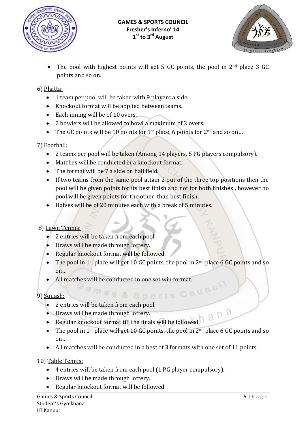



 The pool with highest points will get 5 GC points, the pool in 2nd place 3 GC points and so on.

### 6) Phatta:

- 1 team per pool will be taken with 9 players a side.
- Knockout format will be applied between teams.
- Each inning will be of 10 overs.
- 2 bowlers will be allowed to bowl a maximum of 3 overs.
- The GC points will be 10 points for 1<sup>st</sup> place, 6 points for  $2<sup>nd</sup>$  and so on...

#### 7) Football:

- 2 teams per pool will be taken (Among 14 players, 5 PG players compulsory).
- Matches will be conducted in a knockout format.
- The format will be 7 a side on half field.
- If two teams from the same pool attain 2 out of the three top positions then the pool will be given points for its best finish and not for both finishes , however no pool will be given points for the other than best finish.
- Halves will be of 20 minutes each with a break of 5 minutes.

# 8) Lawn Tennis:

- 2 entries will be taken from each pool.
- Draws will be made through lottery.
- Regular knockout format will be followed.
- The pool in 1<sup>st</sup> place will get 10 GC points, the pool in  $2<sup>nd</sup>$  place 6 GC points and so on…
- All matches will be conducted in one set win format.

9) Squash:

- ash:<br>2 entries will be taken from each pool.
- Draws will be made through lottery.
- Regular knockout format till the finals will be followed.
- The pool in 1<sup>st</sup> place will get 10 GC points, the pool in  $2<sup>nd</sup>$  place 6 GC points and so on…
- All matches will be conducted in a best of 3 formats with one set of 11 points.

10) Table Tennis:

- 4 entries will be taken from each pool (1 PG player compulsory).
- Draws will be made through lottery.
- Regular knockout format will be followed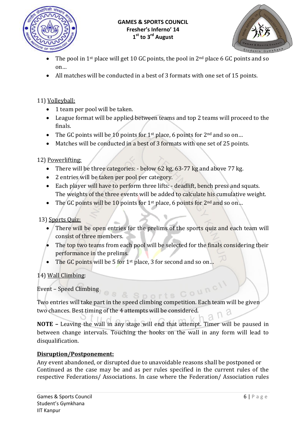



- The pool in 1st place will get 10 GC points, the pool in 2nd place 6 GC points and so on…
- All matches will be conducted in a best of 3 formats with one set of 15 points.

# 11) Volleyball:

- 1 team per pool will be taken.
- League format will be applied between teams and top 2 teams will proceed to the finals.
- The GC points will be 10 points for 1<sup>st</sup> place, 6 points for  $2<sup>nd</sup>$  and so on...
- Matches will be conducted in a best of 3 formats with one set of 25 points.

12) Powerlifting:

- There will be three categories: below 62 kg, 63-77 kg and above 77 kg.
- 2 entries will be taken per pool per category.
- Each player will have to perform three lifts: deadlift, bench press and squats. The weights of the three events will be added to calculate his cumulative weight.
- The GC points will be 10 points for 1<sup>st</sup> place, 6 points for  $2<sup>nd</sup>$  and so on...

13) Sports Quiz:

- There will be open entries for the prelims of the sports quiz and each team will consist of three members.
- The top two teams from each pool will be selected for the finals considering their performance in the prelims.
- The GC points will be 5 for 1st place, 3 for second and so on...

14) Wall Climbing:

Event – Speed Climbing

Two entries will take part in the speed climbing competition. Each team will be given two chances. Best timing of the 4 attempts will be considered.

**NOTE –** Leaving the wall in any stage will end that attempt. Timer will be paused in between change intervals. Touching the hooks on the wall in any form will lead to disqualification.

# **Disruption/Postponement:**

Any event abandoned, or disrupted due to unavoidable reasons shall be postponed or Continued as the case may be and as per rules specified in the current rules of the respective Federations/ Associations. In case where the Federation/ Association rules